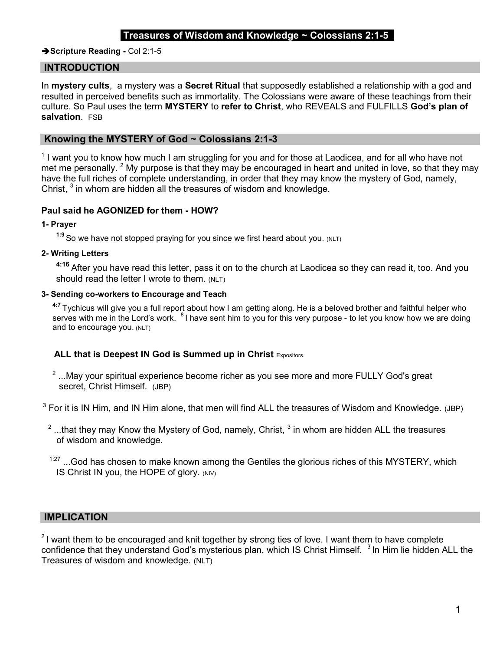## Treasures of Wisdom and Knowledge  $\sim$  Colossians 2:1-5

#### Scripture Reading - Col 2:1-5

## INTRODUCTION

In mystery cults, a mystery was a Secret Ritual that supposedly established a relationship with a god and resulted in perceived benefits such as immortality. The Colossians were aware of these teachings from their culture. So Paul uses the term MYSTERY to refer to Christ, who REVEALS and FULFILLS God's plan of salvation. FSB

### Knowing the MYSTERY of God ~ Colossians 2:1-3

 $1$  I want you to know how much I am struggling for you and for those at Laodicea, and for all who have not met me personally. <sup>2</sup> My purpose is that they may be encouraged in heart and united in love, so that they may have the full riches of complete understanding, in order that they may know the mystery of God, namely, Christ,  $3$  in whom are hidden all the treasures of wisdom and knowledge.

### Paul said he AGONIZED for them - HOW?

#### 1- Prayer

1:9 So we have not stopped praying for you since we first heard about you. (NLT)

## 2- Writing Letters

4:16 After you have read this letter, pass it on to the church at Laodicea so they can read it, too. And you should read the letter I wrote to them. (NLT)

## 3- Sending co-workers to Encourage and Teach

<sup>4:7</sup> Tychicus will give you a full report about how I am getting along. He is a beloved brother and faithful helper who serves with me in the Lord's work. <sup>8</sup>I have sent him to you for this very purpose - to let you know how we are doing and to encourage you. (NLT)

### ALL that is Deepest IN God is Summed up in Christ Expositors

 $2 \dots$ May your spiritual experience become richer as you see more and more FULLY God's great secret, Christ Himself. (JBP)

 $3$  For it is IN Him, and IN Him alone, that men will find ALL the treasures of Wisdom and Knowledge. (JBP)

- $^2$  ...that they may Know the Mystery of God, namely, Christ,  $^3$  in whom are hidden ALL the treasures  $^\mathrm{2}$ of wisdom and knowledge.
- $1:27$  ...God has chosen to make known among the Gentiles the glorious riches of this MYSTERY, which IS Christ IN you, the HOPE of glory. (NIV)

## IMPLICATION

 $21$  want them to be encouraged and knit together by strong ties of love. I want them to have complete confidence that they understand God's mysterious plan, which IS Christ Himself. <sup>3</sup>In Him lie hidden ALL the Treasures of wisdom and knowledge. (NLT)